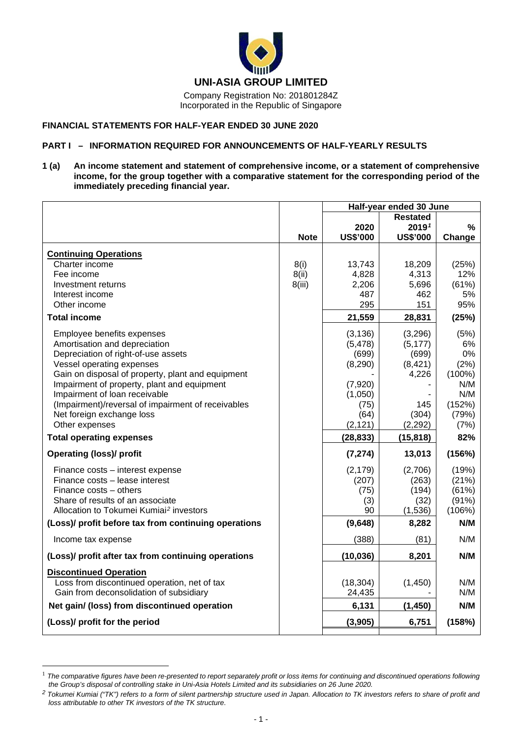

Company Registration No: 201801284Z Incorporated in the Republic of Singapore

### **FINANCIAL STATEMENTS FOR HALF-YEAR ENDED 30 JUNE 2020**

### **PART I – INFORMATION REQUIRED FOR ANNOUNCEMENTS OF HALF-YEARLY RESULTS**

**1 (a) An income statement and statement of comprehensive income, or a statement of comprehensive income, for the group together with a comparative statement for the corresponding period of the immediately preceding financial year.**

|                                                      |             | Half-year ended 30 June |                   |           |
|------------------------------------------------------|-------------|-------------------------|-------------------|-----------|
|                                                      |             |                         |                   |           |
|                                                      |             | 2020                    | 2019 <sup>1</sup> | $\%$      |
|                                                      | <b>Note</b> | <b>US\$'000</b>         | <b>US\$'000</b>   | Change    |
| <b>Continuing Operations</b>                         |             |                         |                   |           |
| Charter income                                       | 8(i)        | 13,743                  | 18,209            | (25%)     |
| Fee income                                           | 8(ii)       | 4,828                   | 4,313             | 12%       |
| Investment returns                                   | 8(iii)      | 2,206                   | 5,696             | (61%)     |
| Interest income                                      |             | 487                     | 462               | 5%        |
| Other income                                         |             | 295                     | 151               | 95%       |
|                                                      |             |                         |                   |           |
| <b>Total income</b>                                  |             | 21,559                  | 28,831            | (25%)     |
| Employee benefits expenses                           |             | (3, 136)                | (3,296)           | (5%)      |
| Amortisation and depreciation                        |             | (5, 478)                | (5, 177)          | 6%        |
| Depreciation of right-of-use assets                  |             | (699)                   | (699)             | 0%        |
| Vessel operating expenses                            |             | (8,290)                 | (8, 421)          | (2%)      |
| Gain on disposal of property, plant and equipment    |             |                         | 4,226             | $(100\%)$ |
| Impairment of property, plant and equipment          |             | (7,920)                 |                   | N/M       |
| Impairment of loan receivable                        |             | (1,050)                 |                   | N/M       |
| (Impairment)/reversal of impairment of receivables   |             | (75)                    | 145               | (152%)    |
| Net foreign exchange loss                            |             | (64)                    | (304)             | (79%)     |
| Other expenses                                       |             | (2, 121)                | (2, 292)          | (7%)      |
| <b>Total operating expenses</b>                      |             | (28, 833)               | (15, 818)         | 82%       |
| <b>Operating (loss)/ profit</b>                      |             | (7, 274)                | 13,013            | (156%)    |
| Finance costs - interest expense                     |             | (2, 179)                | (2,706)           | (19%)     |
| Finance costs - lease interest                       |             | (207)                   | (263)             | (21%)     |
| Finance costs – others                               |             | (75)                    | (194)             | (61%)     |
| Share of results of an associate                     |             | (3)                     | (32)              | (91%)     |
| Allocation to Tokumei Kumiai <sup>2</sup> investors  |             | 90                      | (1,536)           | (106%)    |
| (Loss)/ profit before tax from continuing operations |             | (9,648)                 | 8,282             | N/M       |
| Income tax expense                                   |             | (388)                   | (81)              | N/M       |
| (Loss)/ profit after tax from continuing operations  |             | (10, 036)               | 8,201             | N/M       |
| <b>Discontinued Operation</b>                        |             |                         |                   |           |
| Loss from discontinued operation, net of tax         |             | (18, 304)               | (1,450)           | N/M       |
| Gain from deconsolidation of subsidiary              |             | 24,435                  |                   | N/M       |
| Net gain/ (loss) from discontinued operation         |             | 6,131                   | (1, 450)          | N/M       |
| (Loss)/ profit for the period                        |             | (3,905)                 | 6,751             | (158%)    |
|                                                      |             |                         |                   |           |

<span id="page-0-0"></span><sup>&</sup>lt;sup>1</sup> The comparative figures have been re-presented to report separately profit or loss items for continuing and discontinued operations following *the Group's disposal of controlling stake in Uni-Asia Hotels Limited and its subsidiaries on 26 June 2020.*

<span id="page-0-1"></span>*<sup>2</sup> Tokumei Kumiai ("TK") refers to a form of silent partnership structure used in Japan. Allocation to TK investors refers to share of profit and loss attributable to other TK investors of the TK structure*.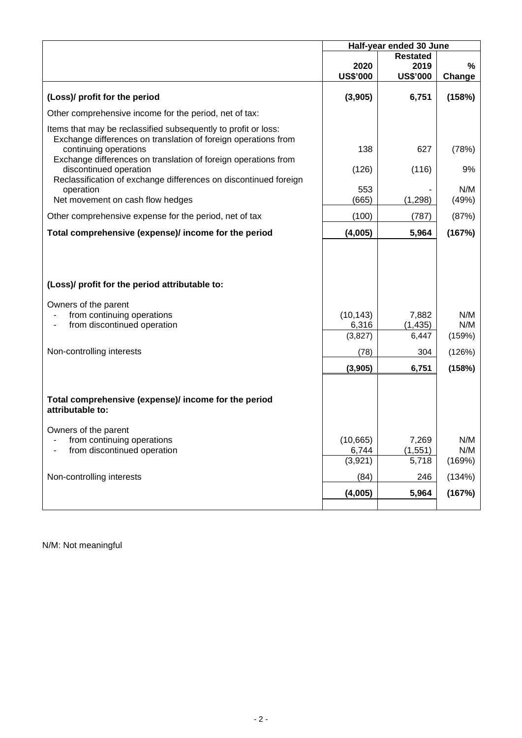|                                                                                                                                                                                                                             | Half-year ended 30 June               |                                            |                                |
|-----------------------------------------------------------------------------------------------------------------------------------------------------------------------------------------------------------------------------|---------------------------------------|--------------------------------------------|--------------------------------|
|                                                                                                                                                                                                                             | 2020<br><b>US\$'000</b>               | <b>Restated</b><br>2019<br><b>US\$'000</b> | %<br>Change                    |
| (Loss)/ profit for the period                                                                                                                                                                                               | (3,905)                               | 6,751                                      | (158%)                         |
| Other comprehensive income for the period, net of tax:                                                                                                                                                                      |                                       |                                            |                                |
| Items that may be reclassified subsequently to profit or loss:<br>Exchange differences on translation of foreign operations from<br>continuing operations<br>Exchange differences on translation of foreign operations from | 138                                   | 627                                        | (78%)                          |
| discontinued operation<br>Reclassification of exchange differences on discontinued foreign                                                                                                                                  | (126)                                 | (116)                                      | 9%                             |
| operation<br>Net movement on cash flow hedges                                                                                                                                                                               | 553<br>(665)                          | (1, 298)                                   | N/M<br>(49%)                   |
| Other comprehensive expense for the period, net of tax                                                                                                                                                                      | (100)                                 | (787)                                      | (87%)                          |
| Total comprehensive (expense)/ income for the period                                                                                                                                                                        | (4,005)                               | 5,964                                      | (167%)                         |
| (Loss)/ profit for the period attributable to:<br>Owners of the parent<br>from continuing operations<br>from discontinued operation                                                                                         | (10, 143)<br>6,316<br>(3,827)         | 7,882<br>(1, 435)<br>6,447                 | N/M<br>N/M<br>(159%)           |
|                                                                                                                                                                                                                             |                                       |                                            |                                |
| Non-controlling interests                                                                                                                                                                                                   | (78)                                  | 304                                        | (126%)                         |
|                                                                                                                                                                                                                             | (3,905)                               | 6,751                                      | (158%)                         |
| Total comprehensive (expense)/ income for the period<br>attributable to:                                                                                                                                                    |                                       |                                            |                                |
| Owners of the parent<br>from continuing operations<br>from discontinued operation<br>Non-controlling interests                                                                                                              | (10, 665)<br>6,744<br>(3,921)<br>(84) | 7,269<br>(1, 551)<br>5,718<br>246          | N/M<br>N/M<br>(169%)<br>(134%) |
|                                                                                                                                                                                                                             | (4,005)                               | 5,964                                      | (167%)                         |
|                                                                                                                                                                                                                             |                                       |                                            |                                |

N/M: Not meaningful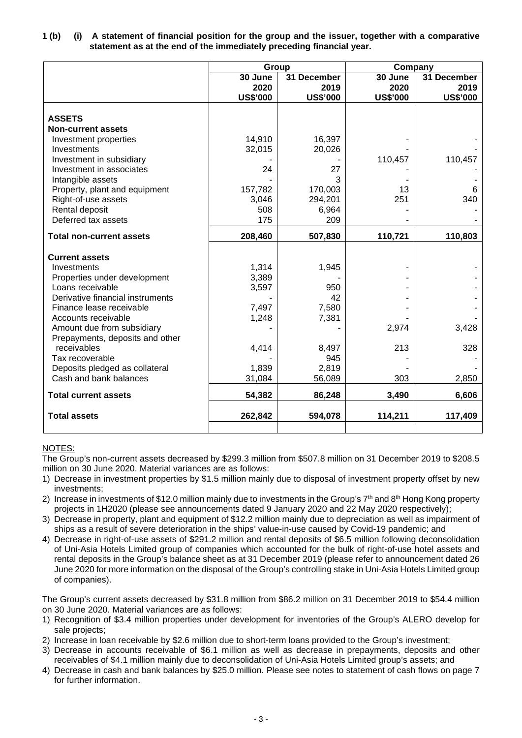|                                  | Group           |                 | Company         |                 |
|----------------------------------|-----------------|-----------------|-----------------|-----------------|
|                                  | 30 June         | 31 December     | 30 June         | 31 December     |
|                                  | 2020            | 2019            | 2020            | 2019            |
|                                  | <b>US\$'000</b> | <b>US\$'000</b> | <b>US\$'000</b> | <b>US\$'000</b> |
| <b>ASSETS</b>                    |                 |                 |                 |                 |
| <b>Non-current assets</b>        |                 |                 |                 |                 |
| Investment properties            | 14,910          | 16,397          |                 |                 |
| Investments                      | 32,015          | 20,026          |                 |                 |
| Investment in subsidiary         |                 |                 | 110,457         | 110,457         |
| Investment in associates         | 24              | 27              |                 |                 |
| Intangible assets                |                 | 3               |                 |                 |
| Property, plant and equipment    | 157,782         | 170,003         | 13              | 6               |
| Right-of-use assets              | 3,046           | 294,201         | 251             | 340             |
| Rental deposit                   | 508             | 6,964           |                 |                 |
| Deferred tax assets              | 175             | 209             |                 |                 |
| <b>Total non-current assets</b>  | 208,460         | 507,830         | 110,721         | 110,803         |
|                                  |                 |                 |                 |                 |
| <b>Current assets</b>            |                 |                 |                 |                 |
| Investments                      | 1,314           | 1,945           |                 |                 |
| Properties under development     | 3,389           |                 |                 |                 |
| Loans receivable                 | 3,597           | 950             |                 |                 |
| Derivative financial instruments |                 | 42              |                 |                 |
| Finance lease receivable         | 7,497           | 7,580           |                 |                 |
| Accounts receivable              | 1,248           | 7,381           |                 |                 |
| Amount due from subsidiary       |                 |                 | 2,974           | 3,428           |
| Prepayments, deposits and other  |                 |                 |                 |                 |
| receivables                      | 4,414           | 8,497           | 213             | 328             |
| Tax recoverable                  |                 | 945             |                 |                 |
| Deposits pledged as collateral   | 1,839           | 2,819           |                 |                 |
| Cash and bank balances           | 31,084          | 56,089          | 303             | 2,850           |
| <b>Total current assets</b>      | 54,382          | 86,248          | 3,490           | 6,606           |
| <b>Total assets</b>              | 262,842         | 594,078         | 114,211         | 117,409         |
|                                  |                 |                 |                 |                 |

## **1 (b) (i) A statement of financial position for the group and the issuer, together with a comparative statement as at the end of the immediately preceding financial year.**

# NOTES:

The Group's non-current assets decreased by \$299.3 million from \$507.8 million on 31 December 2019 to \$208.5 million on 30 June 2020. Material variances are as follows:

- 1) Decrease in investment properties by \$1.5 million mainly due to disposal of investment property offset by new investments;
- 2) Increase in investments of \$12.0 million mainly due to investments in the Group's  $7<sup>th</sup>$  and  $8<sup>th</sup>$  Hong Kong property projects in 1H2020 (please see announcements dated 9 January 2020 and 22 May 2020 respectively);
- 3) Decrease in property, plant and equipment of \$12.2 million mainly due to depreciation as well as impairment of ships as a result of severe deterioration in the ships' value-in-use caused by Covid-19 pandemic; and
- 4) Decrease in right-of-use assets of \$291.2 million and rental deposits of \$6.5 million following deconsolidation of Uni-Asia Hotels Limited group of companies which accounted for the bulk of right-of-use hotel assets and rental deposits in the Group's balance sheet as at 31 December 2019 (please refer to announcement dated 26 June 2020 for more information on the disposal of the Group's controlling stake in Uni-Asia Hotels Limited group of companies).

The Group's current assets decreased by \$31.8 million from \$86.2 million on 31 December 2019 to \$54.4 million on 30 June 2020. Material variances are as follows:

- 1) Recognition of \$3.4 million properties under development for inventories of the Group's ALERO develop for sale projects;
- 2) Increase in loan receivable by \$2.6 million due to short-term loans provided to the Group's investment;
- 3) Decrease in accounts receivable of \$6.1 million as well as decrease in prepayments, deposits and other receivables of \$4.1 million mainly due to deconsolidation of Uni-Asia Hotels Limited group's assets; and
- 4) Decrease in cash and bank balances by \$25.0 million. Please see notes to statement of cash flows on page 7 for further information.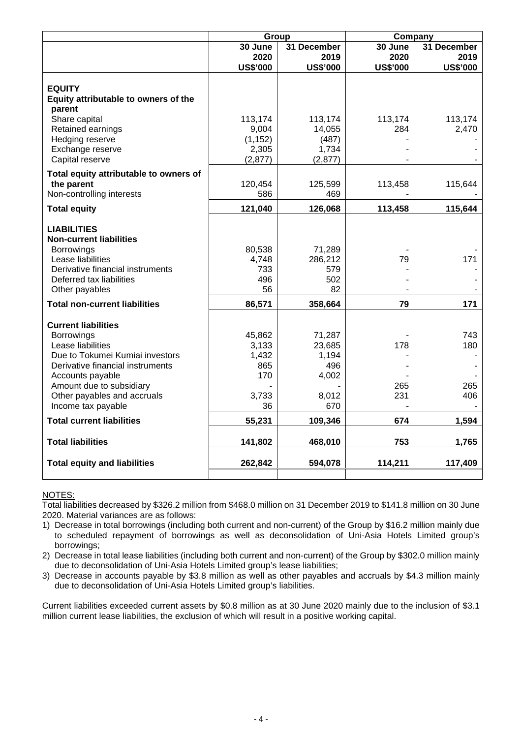|                                                       | Group           |                 |                 | Company         |  |  |
|-------------------------------------------------------|-----------------|-----------------|-----------------|-----------------|--|--|
|                                                       | 30 June         | 31 December     | 30 June         | 31 December     |  |  |
|                                                       | 2020            | 2019            | 2020            | 2019            |  |  |
|                                                       | <b>US\$'000</b> | <b>US\$'000</b> | <b>US\$'000</b> | <b>US\$'000</b> |  |  |
| <b>EQUITY</b>                                         |                 |                 |                 |                 |  |  |
| Equity attributable to owners of the                  |                 |                 |                 |                 |  |  |
| parent                                                |                 |                 |                 |                 |  |  |
| Share capital                                         | 113,174         | 113,174         | 113,174         | 113,174         |  |  |
| Retained earnings                                     | 9,004           | 14,055          | 284             | 2,470           |  |  |
| Hedging reserve                                       | (1, 152)        | (487)           |                 |                 |  |  |
| Exchange reserve                                      | 2,305           | 1,734           |                 |                 |  |  |
| Capital reserve                                       | (2, 877)        | (2,877)         |                 |                 |  |  |
| Total equity attributable to owners of                |                 |                 |                 |                 |  |  |
| the parent                                            | 120,454         | 125,599         | 113,458         | 115,644         |  |  |
| Non-controlling interests                             | 586             | 469             |                 |                 |  |  |
| <b>Total equity</b>                                   | 121,040         | 126,068         | 113,458         | 115,644         |  |  |
|                                                       |                 |                 |                 |                 |  |  |
| <b>LIABILITIES</b>                                    |                 |                 |                 |                 |  |  |
| <b>Non-current liabilities</b>                        |                 |                 |                 |                 |  |  |
| <b>Borrowings</b>                                     | 80,538          | 71,289          |                 |                 |  |  |
| Lease liabilities<br>Derivative financial instruments | 4,748           | 286,212         | 79              | 171             |  |  |
| Deferred tax liabilities                              | 733<br>496      | 579<br>502      |                 |                 |  |  |
| Other payables                                        | 56              | 82              |                 |                 |  |  |
|                                                       |                 |                 |                 |                 |  |  |
| <b>Total non-current liabilities</b>                  | 86,571          | 358,664         | 79              | 171             |  |  |
| <b>Current liabilities</b>                            |                 |                 |                 |                 |  |  |
| <b>Borrowings</b>                                     | 45,862          | 71,287          |                 | 743             |  |  |
| Lease liabilities                                     | 3,133           | 23,685          | 178             | 180             |  |  |
| Due to Tokumei Kumiai investors                       | 1,432           | 1,194           |                 |                 |  |  |
| Derivative financial instruments                      | 865             | 496             |                 |                 |  |  |
| Accounts payable                                      | 170             | 4,002           |                 |                 |  |  |
| Amount due to subsidiary                              |                 |                 | 265             | 265             |  |  |
| Other payables and accruals                           | 3,733           | 8,012           | 231             | 406             |  |  |
| Income tax payable                                    | 36              | 670             |                 |                 |  |  |
| <b>Total current liabilities</b>                      | 55,231          | 109,346         | 674             | 1,594           |  |  |
| <b>Total liabilities</b>                              | 141,802         | 468,010         | 753             | 1,765           |  |  |
|                                                       |                 |                 |                 |                 |  |  |
| <b>Total equity and liabilities</b>                   | 262,842         | 594,078         | 114,211         | 117,409         |  |  |
|                                                       |                 |                 |                 |                 |  |  |

## NOTES:

Total liabilities decreased by \$326.2 million from \$468.0 million on 31 December 2019 to \$141.8 million on 30 June 2020. Material variances are as follows:

1) Decrease in total borrowings (including both current and non-current) of the Group by \$16.2 million mainly due to scheduled repayment of borrowings as well as deconsolidation of Uni-Asia Hotels Limited group's borrowings;

2) Decrease in total lease liabilities (including both current and non-current) of the Group by \$302.0 million mainly due to deconsolidation of Uni-Asia Hotels Limited group's lease liabilities;

3) Decrease in accounts payable by \$3.8 million as well as other payables and accruals by \$4.3 million mainly due to deconsolidation of Uni-Asia Hotels Limited group's liabilities.

Current liabilities exceeded current assets by \$0.8 million as at 30 June 2020 mainly due to the inclusion of \$3.1 million current lease liabilities, the exclusion of which will result in a positive working capital.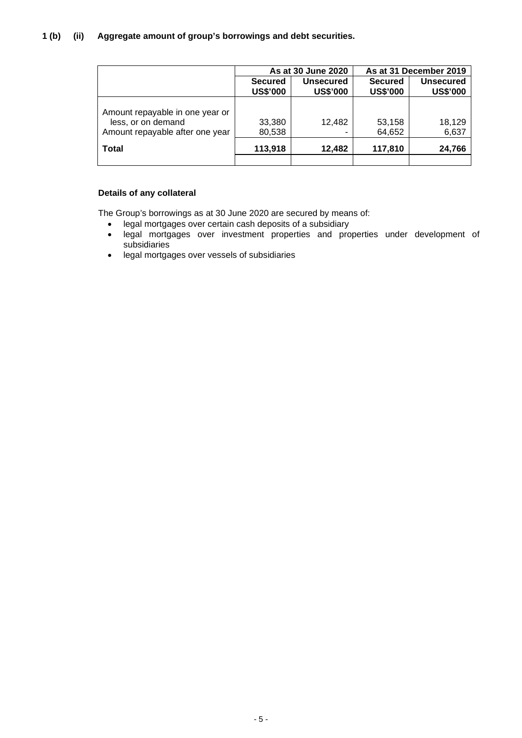# **1 (b) (ii) Aggregate amount of group's borrowings and debt securities.**

|                                                                                          |                                   | As at 30 June 2020                  | As at 31 December 2019            |                                     |  |
|------------------------------------------------------------------------------------------|-----------------------------------|-------------------------------------|-----------------------------------|-------------------------------------|--|
|                                                                                          | <b>Secured</b><br><b>US\$'000</b> | <b>Unsecured</b><br><b>US\$'000</b> | <b>Secured</b><br><b>US\$'000</b> | <b>Unsecured</b><br><b>US\$'000</b> |  |
| Amount repayable in one year or<br>less, or on demand<br>Amount repayable after one year | 33,380<br>80,538                  | 12,482                              | 53,158<br>64,652                  | 18,129<br>6,637                     |  |
| <b>Total</b>                                                                             | 113,918                           | 12,482                              | 117,810                           | 24,766                              |  |
|                                                                                          |                                   |                                     |                                   |                                     |  |

## **Details of any collateral**

The Group's borrowings as at 30 June 2020 are secured by means of:

- legal mortgages over certain cash deposits of a subsidiary
- legal mortgages over investment properties and properties under development of subsidiaries
- legal mortgages over vessels of subsidiaries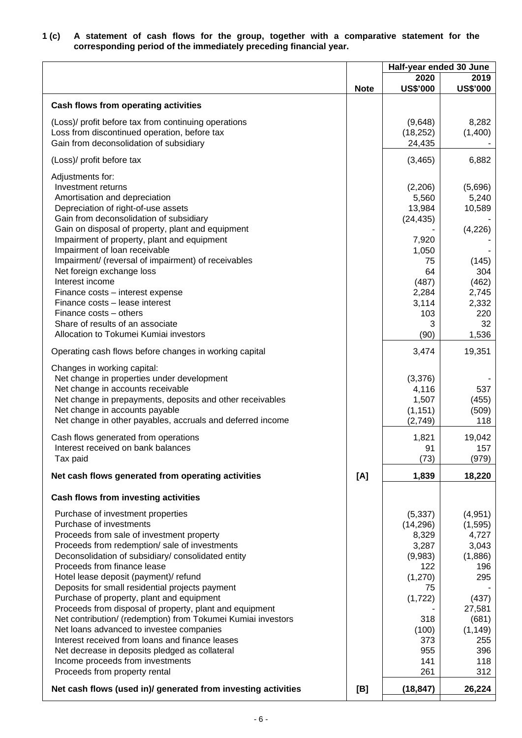#### **1 (c) A statement of cash flows for the group, together with a comparative statement for the corresponding period of the immediately preceding financial year.**

|                                                                                                                                                                                                                                                                                                                                                                                                                                                                                                                                                                                                                                                                                                                                          |             | Half-year ended 30 June                                                                                                            |                                                                                                                                    |
|------------------------------------------------------------------------------------------------------------------------------------------------------------------------------------------------------------------------------------------------------------------------------------------------------------------------------------------------------------------------------------------------------------------------------------------------------------------------------------------------------------------------------------------------------------------------------------------------------------------------------------------------------------------------------------------------------------------------------------------|-------------|------------------------------------------------------------------------------------------------------------------------------------|------------------------------------------------------------------------------------------------------------------------------------|
|                                                                                                                                                                                                                                                                                                                                                                                                                                                                                                                                                                                                                                                                                                                                          | <b>Note</b> | 2020<br><b>US\$'000</b>                                                                                                            | 2019<br><b>US\$'000</b>                                                                                                            |
| <b>Cash flows from operating activities</b>                                                                                                                                                                                                                                                                                                                                                                                                                                                                                                                                                                                                                                                                                              |             |                                                                                                                                    |                                                                                                                                    |
| (Loss)/ profit before tax from continuing operations<br>Loss from discontinued operation, before tax<br>Gain from deconsolidation of subsidiary                                                                                                                                                                                                                                                                                                                                                                                                                                                                                                                                                                                          |             | (9,648)<br>(18, 252)<br>24,435                                                                                                     | 8,282<br>(1,400)                                                                                                                   |
| (Loss)/ profit before tax                                                                                                                                                                                                                                                                                                                                                                                                                                                                                                                                                                                                                                                                                                                |             | (3, 465)                                                                                                                           | 6,882                                                                                                                              |
| Adjustments for:<br>Investment returns<br>Amortisation and depreciation<br>Depreciation of right-of-use assets<br>Gain from deconsolidation of subsidiary<br>Gain on disposal of property, plant and equipment<br>Impairment of property, plant and equipment<br>Impairment of loan receivable<br>Impairment/ (reversal of impairment) of receivables<br>Net foreign exchange loss<br>Interest income<br>Finance costs - interest expense<br>Finance costs - lease interest<br>Finance costs - others<br>Share of results of an associate<br>Allocation to Tokumei Kumiai investors                                                                                                                                                      |             | (2,206)<br>5,560<br>13,984<br>(24, 435)<br>7,920<br>1,050<br>75<br>64<br>(487)<br>2,284<br>3,114<br>103<br>3<br>(90)               | (5,696)<br>5,240<br>10,589<br>(4, 226)<br>(145)<br>304<br>(462)<br>2,745<br>2,332<br>220<br>32<br>1,536                            |
| Operating cash flows before changes in working capital                                                                                                                                                                                                                                                                                                                                                                                                                                                                                                                                                                                                                                                                                   |             | 3,474                                                                                                                              | 19,351                                                                                                                             |
| Changes in working capital:<br>Net change in properties under development<br>Net change in accounts receivable<br>Net change in prepayments, deposits and other receivables<br>Net change in accounts payable<br>Net change in other payables, accruals and deferred income<br>Cash flows generated from operations                                                                                                                                                                                                                                                                                                                                                                                                                      |             | (3,376)<br>4,116<br>1,507<br>(1, 151)<br>(2,749)<br>1,821                                                                          | 537<br>(455)<br>(509)<br>118<br>19,042                                                                                             |
| Interest received on bank balances<br>Tax paid                                                                                                                                                                                                                                                                                                                                                                                                                                                                                                                                                                                                                                                                                           |             | 91<br>(73)                                                                                                                         | 157<br>(979)                                                                                                                       |
| Net cash flows generated from operating activities                                                                                                                                                                                                                                                                                                                                                                                                                                                                                                                                                                                                                                                                                       | [A]         | 1,839                                                                                                                              | 18,220                                                                                                                             |
| <b>Cash flows from investing activities</b>                                                                                                                                                                                                                                                                                                                                                                                                                                                                                                                                                                                                                                                                                              |             |                                                                                                                                    |                                                                                                                                    |
| Purchase of investment properties<br>Purchase of investments<br>Proceeds from sale of investment property<br>Proceeds from redemption/ sale of investments<br>Deconsolidation of subsidiary/consolidated entity<br>Proceeds from finance lease<br>Hotel lease deposit (payment)/ refund<br>Deposits for small residential projects payment<br>Purchase of property, plant and equipment<br>Proceeds from disposal of property, plant and equipment<br>Net contribution/ (redemption) from Tokumei Kumiai investors<br>Net loans advanced to investee companies<br>Interest received from loans and finance leases<br>Net decrease in deposits pledged as collateral<br>Income proceeds from investments<br>Proceeds from property rental |             | (5, 337)<br>(14, 296)<br>8,329<br>3,287<br>(9,983)<br>122<br>(1,270)<br>75<br>(1, 722)<br>318<br>(100)<br>373<br>955<br>141<br>261 | (4,951)<br>(1, 595)<br>4,727<br>3,043<br>(1,886)<br>196<br>295<br>(437)<br>27,581<br>(681)<br>(1, 149)<br>255<br>396<br>118<br>312 |
| Net cash flows (used in)/ generated from investing activities                                                                                                                                                                                                                                                                                                                                                                                                                                                                                                                                                                                                                                                                            | [B]         | (18, 847)                                                                                                                          | 26,224                                                                                                                             |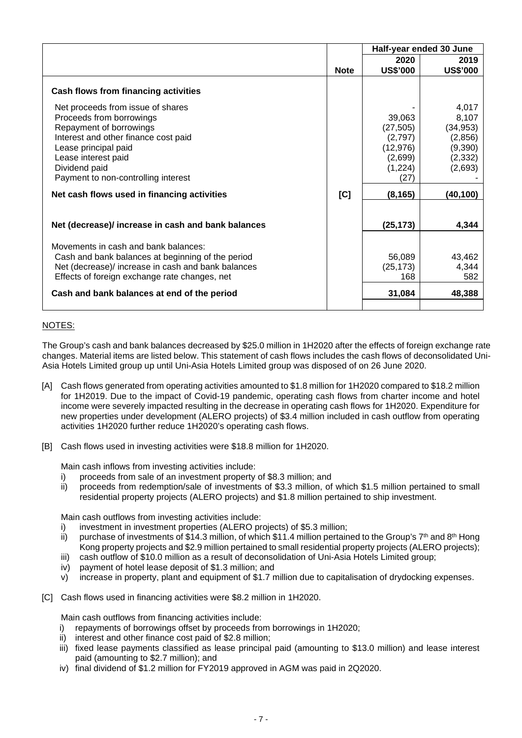|                                                                                                                                                                                                                                         |             | Half-year ended 30 June                                                   |                                                                          |
|-----------------------------------------------------------------------------------------------------------------------------------------------------------------------------------------------------------------------------------------|-------------|---------------------------------------------------------------------------|--------------------------------------------------------------------------|
|                                                                                                                                                                                                                                         |             | 2020                                                                      | 2019                                                                     |
|                                                                                                                                                                                                                                         | <b>Note</b> | <b>US\$'000</b>                                                           | <b>US\$'000</b>                                                          |
| Cash flows from financing activities                                                                                                                                                                                                    |             |                                                                           |                                                                          |
| Net proceeds from issue of shares<br>Proceeds from borrowings<br>Repayment of borrowings<br>Interest and other finance cost paid<br>Lease principal paid<br>Lease interest paid<br>Dividend paid<br>Payment to non-controlling interest |             | 39,063<br>(27, 505)<br>(2,797)<br>(12, 976)<br>(2,699)<br>(1,224)<br>(27) | 4,017<br>8,107<br>(34, 953)<br>(2,856)<br>(9,390)<br>(2, 332)<br>(2,693) |
| Net cash flows used in financing activities                                                                                                                                                                                             | [C]         | (8, 165)                                                                  | (40,100)                                                                 |
| Net (decrease)/ increase in cash and bank balances                                                                                                                                                                                      |             | (25, 173)                                                                 | 4,344                                                                    |
| Movements in cash and bank balances:<br>Cash and bank balances at beginning of the period<br>Net (decrease)/ increase in cash and bank balances<br>Effects of foreign exchange rate changes, net                                        |             | 56,089<br>(25, 173)<br>168                                                | 43,462<br>4,344<br>582                                                   |
| Cash and bank balances at end of the period                                                                                                                                                                                             |             | 31,084                                                                    | 48,388                                                                   |

# NOTES:

The Group's cash and bank balances decreased by \$25.0 million in 1H2020 after the effects of foreign exchange rate changes. Material items are listed below. This statement of cash flows includes the cash flows of deconsolidated Uni-Asia Hotels Limited group up until Uni-Asia Hotels Limited group was disposed of on 26 June 2020.

- [A] Cash flows generated from operating activities amounted to \$1.8 million for 1H2020 compared to \$18.2 million for 1H2019. Due to the impact of Covid-19 pandemic, operating cash flows from charter income and hotel income were severely impacted resulting in the decrease in operating cash flows for 1H2020. Expenditure for new properties under development (ALERO projects) of \$3.4 million included in cash outflow from operating activities 1H2020 further reduce 1H2020's operating cash flows.
- [B] Cash flows used in investing activities were \$18.8 million for 1H2020.

Main cash inflows from investing activities include:

- i) proceeds from sale of an investment property of \$8.3 million; and
- ii) proceeds from redemption/sale of investments of \$3.3 million, of which \$1.5 million pertained to small residential property projects (ALERO projects) and \$1.8 million pertained to ship investment.

Main cash outflows from investing activities include:

- i) investment in investment properties (ALERO projects) of \$5.3 million;
- ii) purchase of investments of \$14.3 million, of which \$11.4 million pertained to the Group's  $7<sup>th</sup>$  and  $8<sup>th</sup>$  Hong Kong property projects and \$2.9 million pertained to small residential property projects (ALERO projects);
- iii) cash outflow of \$10.0 million as a result of deconsolidation of Uni-Asia Hotels Limited group;
- iv) payment of hotel lease deposit of \$1.3 million; and
- v) increase in property, plant and equipment of \$1.7 million due to capitalisation of drydocking expenses.
- [C] Cash flows used in financing activities were \$8.2 million in 1H2020.

Main cash outflows from financing activities include:

- i) repayments of borrowings offset by proceeds from borrowings in 1H2020;
- ii) interest and other finance cost paid of \$2.8 million;
- iii) fixed lease payments classified as lease principal paid (amounting to \$13.0 million) and lease interest paid (amounting to \$2.7 million); and
- iv) final dividend of \$1.2 million for FY2019 approved in AGM was paid in 2Q2020.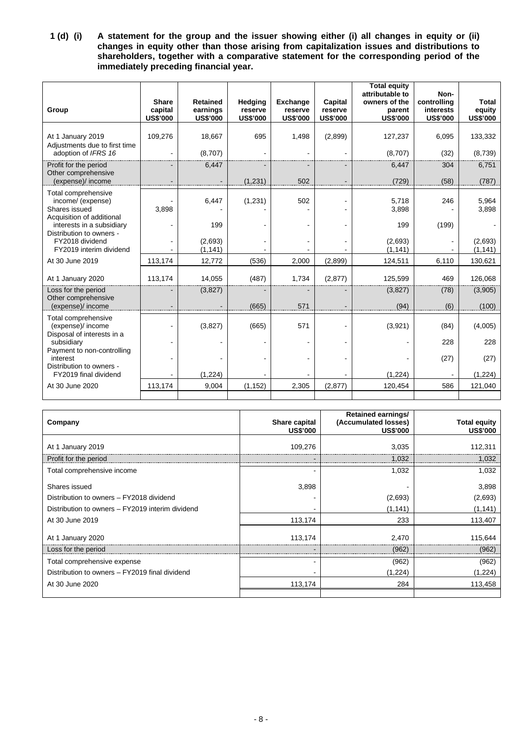**1 (d) (i) A statement for the group and the issuer showing either (i) all changes in equity or (ii) changes in equity other than those arising from capitalization issues and distributions to shareholders, together with a comparative statement for the corresponding period of the immediately preceding financial year.**

| Group                                                                                  | <b>Share</b><br>capital | <b>Retained</b><br>earnings | Hedging<br>reserve | <b>Exchange</b><br>reserve | Capital<br>reserve | <b>Total equity</b><br>attributable to<br>owners of the<br>parent | Non-<br>controlling<br><b>interests</b> | <b>Total</b><br>equity |
|----------------------------------------------------------------------------------------|-------------------------|-----------------------------|--------------------|----------------------------|--------------------|-------------------------------------------------------------------|-----------------------------------------|------------------------|
|                                                                                        | <b>US\$'000</b>         | <b>US\$'000</b>             | <b>US\$'000</b>    | <b>US\$'000</b>            | <b>US\$'000</b>    | <b>US\$'000</b>                                                   | <b>US\$'000</b>                         | <b>US\$'000</b>        |
| At 1 January 2019<br>Adjustments due to first time                                     | 109,276                 | 18,667                      | 695                | 1,498                      | (2,899)            | 127,237                                                           | 6,095                                   | 133,332                |
| adoption of IFRS 16                                                                    |                         | (8,707)                     |                    |                            |                    | (8,707)                                                           | (32)                                    | (8,739)                |
| Profit for the period<br>Other comprehensive                                           |                         | 6,447                       |                    |                            |                    | 6,447                                                             | 304                                     | 6,751                  |
| (expense)/ income                                                                      |                         |                             | (1,231)            | 502                        |                    | (729)                                                             | (58)                                    | (787)                  |
| Total comprehensive<br>income/ (expense)<br>Shares issued<br>Acquisition of additional | 3,898                   | 6,447                       | (1,231)            | 502                        |                    | 5,718<br>3,898                                                    | 246                                     | 5,964<br>3,898         |
| interests in a subsidiary<br>Distribution to owners -                                  |                         | 199                         |                    |                            |                    | 199                                                               | (199)                                   |                        |
| FY2018 dividend<br>FY2019 interim dividend                                             |                         | (2,693)<br>(1, 141)         |                    |                            |                    | (2,693)<br>(1, 141)                                               |                                         | (2,693)<br>(1, 141)    |
| At 30 June 2019                                                                        | 113,174                 | 12,772                      | (536)              | 2,000                      | (2,899)            | 124,511                                                           | 6,110                                   | 130,621                |
| At 1 January 2020                                                                      | 113,174                 | 14,055                      | (487)              | 1,734                      | (2,877)            | 125,599                                                           | 469                                     | 126,068                |
| Loss for the period                                                                    |                         | (3,827)                     | $\blacksquare$     |                            |                    | (3,827)                                                           | (78)                                    | (3,905)                |
| Other comprehensive<br>(expense)/ income                                               |                         |                             | (665)              | 571                        |                    | (94)                                                              | (6)                                     | (100)                  |
| Total comprehensive<br>(expense)/ income<br>Disposal of interests in a                 |                         | (3,827)                     | (665)              | 571                        |                    | (3,921)                                                           | (84)                                    | (4,005)                |
| subsidiary                                                                             |                         |                             |                    |                            |                    |                                                                   | 228                                     | 228                    |
| Payment to non-controlling<br>interest<br>Distribution to owners -                     |                         |                             |                    |                            |                    |                                                                   | (27)                                    | (27)                   |
| FY2019 final dividend                                                                  |                         | (1, 224)                    |                    |                            |                    | (1,224)                                                           |                                         | (1, 224)               |
| At 30 June 2020                                                                        | 113,174                 | 9,004                       | (1, 152)           | 2,305                      | (2, 877)           | 120,454                                                           | 586                                     | 121,040                |
|                                                                                        |                         |                             |                    |                            |                    |                                                                   |                                         |                        |

| Company                                          | Share capital<br><b>US\$'000</b> | <b>Retained earnings/</b><br>(Accumulated losses)<br><b>US\$'000</b> | <b>Total equity</b><br><b>US\$'000</b> |
|--------------------------------------------------|----------------------------------|----------------------------------------------------------------------|----------------------------------------|
| At 1 January 2019                                | 109,276                          | 3,035                                                                | 112,311                                |
| Profit for the period                            |                                  | 1,032                                                                | 1,032                                  |
| Total comprehensive income                       | $\overline{\phantom{0}}$         | 1.032                                                                | 1,032                                  |
| Shares issued                                    | 3,898                            |                                                                      | 3,898                                  |
| Distribution to owners - FY2018 dividend         |                                  | (2,693)                                                              | (2,693)                                |
| Distribution to owners - FY2019 interim dividend |                                  | (1, 141)                                                             | (1, 141)                               |
| At 30 June 2019                                  | 113,174                          | 233                                                                  | 113,407                                |
| At 1 January 2020                                | 113,174                          | 2,470                                                                | 115.644                                |
| Loss for the period                              |                                  | (962)                                                                | (962                                   |
| Total comprehensive expense                      | $\blacksquare$                   | (962)                                                                | (962)                                  |
| Distribution to owners - FY2019 final dividend   | $\blacksquare$                   | (1,224)                                                              | (1,224)                                |
| At 30 June 2020                                  | 113,174                          | 284                                                                  | 113,458                                |
|                                                  |                                  |                                                                      |                                        |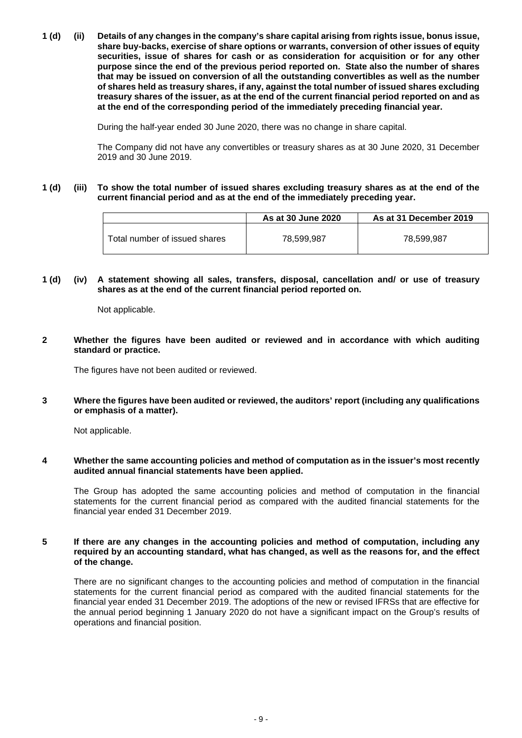**1 (d) (ii) Details of any changes in the company's share capital arising from rights issue, bonus issue, share buy-backs, exercise of share options or warrants, conversion of other issues of equity securities, issue of shares for cash or as consideration for acquisition or for any other purpose since the end of the previous period reported on. State also the number of shares that may be issued on conversion of all the outstanding convertibles as well as the number of shares held as treasury shares, if any, against the total number of issued shares excluding treasury shares of the issuer, as at the end of the current financial period reported on and as at the end of the corresponding period of the immediately preceding financial year.**

During the half-year ended 30 June 2020, there was no change in share capital.

The Company did not have any convertibles or treasury shares as at 30 June 2020, 31 December 2019 and 30 June 2019.

### **1 (d) (iii) To show the total number of issued shares excluding treasury shares as at the end of the current financial period and as at the end of the immediately preceding year.**

|                               | As at 30 June 2020 | As at 31 December 2019 |
|-------------------------------|--------------------|------------------------|
| Total number of issued shares | 78,599,987         | 78,599,987             |

**1 (d) (iv) A statement showing all sales, transfers, disposal, cancellation and/ or use of treasury shares as at the end of the current financial period reported on.**

Not applicable.

**2 Whether the figures have been audited or reviewed and in accordance with which auditing standard or practice.**

The figures have not been audited or reviewed.

**3 Where the figures have been audited or reviewed, the auditors' report (including any qualifications or emphasis of a matter).**

Not applicable.

**4 Whether the same accounting policies and method of computation as in the issuer's most recently audited annual financial statements have been applied.**

The Group has adopted the same accounting policies and method of computation in the financial statements for the current financial period as compared with the audited financial statements for the financial year ended 31 December 2019.

### **5 If there are any changes in the accounting policies and method of computation, including any required by an accounting standard, what has changed, as well as the reasons for, and the effect of the change.**

There are no significant changes to the accounting policies and method of computation in the financial statements for the current financial period as compared with the audited financial statements for the financial year ended 31 December 2019. The adoptions of the new or revised IFRSs that are effective for the annual period beginning 1 January 2020 do not have a significant impact on the Group's results of operations and financial position.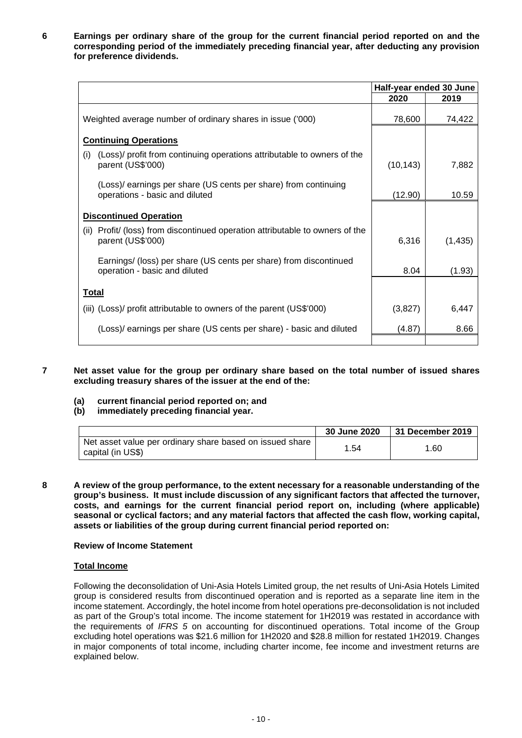**6 Earnings per ordinary share of the group for the current financial period reported on and the corresponding period of the immediately preceding financial year, after deducting any provision for preference dividends.**

|                                                                                                     | Half-year ended 30 June |          |
|-----------------------------------------------------------------------------------------------------|-------------------------|----------|
|                                                                                                     | 2020                    | 2019     |
| Weighted average number of ordinary shares in issue ('000)                                          | 78,600                  | 74,422   |
|                                                                                                     |                         |          |
| <b>Continuing Operations</b>                                                                        |                         |          |
| (Loss)/ profit from continuing operations attributable to owners of the<br>(i)<br>parent (US\$'000) | (10, 143)               | 7,882    |
| (Loss) earnings per share (US cents per share) from continuing<br>operations - basic and diluted    | (12.90)                 | 10.59    |
| <b>Discontinued Operation</b>                                                                       |                         |          |
| (ii) Profit/ (loss) from discontinued operation attributable to owners of the<br>parent (US\$'000)  | 6,316                   | (1, 435) |
| Earnings/ (loss) per share (US cents per share) from discontinued<br>operation - basic and diluted  | 8.04                    | (1.93)   |
| <b>Total</b>                                                                                        |                         |          |
| (iii) (Loss)/ profit attributable to owners of the parent (US\$'000)                                | (3,827)                 | 6,447    |
| (Loss) earnings per share (US cents per share) - basic and diluted                                  | (4.87)                  | 8.66     |
|                                                                                                     |                         |          |

**7 Net asset value for the group per ordinary share based on the total number of issued shares excluding treasury shares of the issuer at the end of the:**

**(a) current financial period reported on; and**

# **(b) immediately preceding financial year.**

|                                                                               | 30 June 2020 | 31 December 2019 |
|-------------------------------------------------------------------------------|--------------|------------------|
| Net asset value per ordinary share based on issued share<br>capital (in US\$) | 1.54         | 1.60             |

**8 A review of the group performance, to the extent necessary for a reasonable understanding of the group's business. It must include discussion of any significant factors that affected the turnover, costs, and earnings for the current financial period report on, including (where applicable) seasonal or cyclical factors; and any material factors that affected the cash flow, working capital, assets or liabilities of the group during current financial period reported on:**

#### **Review of Income Statement**

#### **Total Income**

Following the deconsolidation of Uni-Asia Hotels Limited group, the net results of Uni-Asia Hotels Limited group is considered results from discontinued operation and is reported as a separate line item in the income statement. Accordingly, the hotel income from hotel operations pre-deconsolidation is not included as part of the Group's total income. The income statement for 1H2019 was restated in accordance with the requirements of *IFRS 5* on accounting for discontinued operations. Total income of the Group excluding hotel operations was \$21.6 million for 1H2020 and \$28.8 million for restated 1H2019. Changes in major components of total income, including charter income, fee income and investment returns are explained below.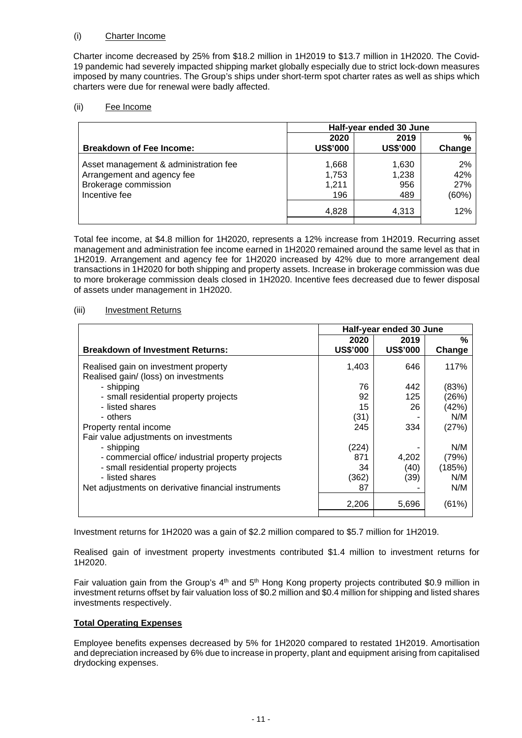# (i) Charter Income

Charter income decreased by 25% from \$18.2 million in 1H2019 to \$13.7 million in 1H2020. The Covid-19 pandemic had severely impacted shipping market globally especially due to strict lock-down measures imposed by many countries. The Group's ships under short-term spot charter rates as well as ships which charters were due for renewal were badly affected.

# (ii) Fee Income

|                                       | Half-year ended 30 June |                 |        |
|---------------------------------------|-------------------------|-----------------|--------|
|                                       | 2020                    | 2019            | %      |
| <b>Breakdown of Fee Income:</b>       | <b>US\$'000</b>         | <b>US\$'000</b> | Change |
| Asset management & administration fee | 1,668                   | 1,630           | 2%     |
| Arrangement and agency fee            | 1,753                   | 1,238           | 42%    |
| Brokerage commission                  | 1,211                   | 956             | 27%    |
| Incentive fee                         | 196                     | 489             | (60%)  |
|                                       | 4,828                   | 4,313           | 12%    |
|                                       |                         |                 |        |

Total fee income, at \$4.8 million for 1H2020, represents a 12% increase from 1H2019. Recurring asset management and administration fee income earned in 1H2020 remained around the same level as that in 1H2019. Arrangement and agency fee for 1H2020 increased by 42% due to more arrangement deal transactions in 1H2020 for both shipping and property assets. Increase in brokerage commission was due to more brokerage commission deals closed in 1H2020. Incentive fees decreased due to fewer disposal of assets under management in 1H2020.

### (iii) Investment Returns

|                                                                              | Half-year ended 30 June |                 |        |
|------------------------------------------------------------------------------|-------------------------|-----------------|--------|
|                                                                              | 2020                    | 2019            | %      |
| <b>Breakdown of Investment Returns:</b>                                      | <b>US\$'000</b>         | <b>US\$'000</b> | Change |
| Realised gain on investment property<br>Realised gain/ (loss) on investments | 1,403                   | 646             | 117%   |
| - shipping                                                                   | 76                      | 442             | (83%)  |
| - small residential property projects                                        | 92                      | 125             | (26%)  |
| - listed shares                                                              | 15                      | 26              | (42%)  |
| - others                                                                     | (31)                    |                 | N/M    |
| Property rental income                                                       | 245                     | 334             | (27%)  |
| Fair value adjustments on investments                                        |                         |                 |        |
| - shipping                                                                   | (224)                   |                 | N/M    |
| - commercial office/ industrial property projects                            | 871                     | 4,202           | (79%)  |
| - small residential property projects                                        | 34                      | (40)            | (185%) |
| - listed shares                                                              | (362)                   | (39)            | N/M    |
| Net adjustments on derivative financial instruments                          | 87                      |                 | N/M    |
|                                                                              | 2,206                   | 5,696           | (61%)  |

Investment returns for 1H2020 was a gain of \$2.2 million compared to \$5.7 million for 1H2019.

Realised gain of investment property investments contributed \$1.4 million to investment returns for 1H2020.

Fair valuation gain from the Group's  $4<sup>th</sup>$  and  $5<sup>th</sup>$  Hong Kong property projects contributed \$0.9 million in investment returns offset by fair valuation loss of \$0.2 million and \$0.4 million for shipping and listed shares investments respectively.

# **Total Operating Expenses**

Employee benefits expenses decreased by 5% for 1H2020 compared to restated 1H2019. Amortisation and depreciation increased by 6% due to increase in property, plant and equipment arising from capitalised drydocking expenses.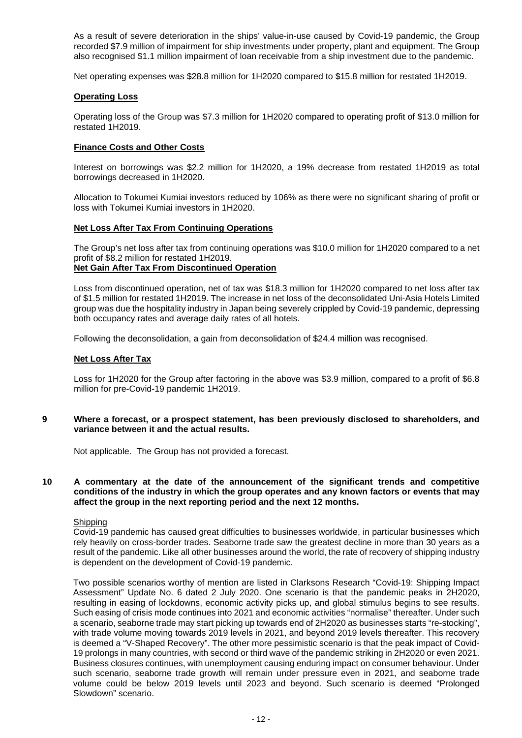As a result of severe deterioration in the ships' value-in-use caused by Covid-19 pandemic, the Group recorded \$7.9 million of impairment for ship investments under property, plant and equipment. The Group also recognised \$1.1 million impairment of loan receivable from a ship investment due to the pandemic.

Net operating expenses was \$28.8 million for 1H2020 compared to \$15.8 million for restated 1H2019.

#### **Operating Loss**

Operating loss of the Group was \$7.3 million for 1H2020 compared to operating profit of \$13.0 million for restated 1H2019.

#### **Finance Costs and Other Costs**

Interest on borrowings was \$2.2 million for 1H2020, a 19% decrease from restated 1H2019 as total borrowings decreased in 1H2020.

Allocation to Tokumei Kumiai investors reduced by 106% as there were no significant sharing of profit or loss with Tokumei Kumiai investors in 1H2020.

# **Net Loss After Tax From Continuing Operations**

The Group's net loss after tax from continuing operations was \$10.0 million for 1H2020 compared to a net profit of \$8.2 million for restated 1H2019. **Net Gain After Tax From Discontinued Operation**

Loss from discontinued operation, net of tax was \$18.3 million for 1H2020 compared to net loss after tax of \$1.5 million for restated 1H2019. The increase in net loss of the deconsolidated Uni-Asia Hotels Limited group was due the hospitality industry in Japan being severely crippled by Covid-19 pandemic, depressing both occupancy rates and average daily rates of all hotels.

Following the deconsolidation, a gain from deconsolidation of \$24.4 million was recognised.

#### **Net Loss After Tax**

Loss for 1H2020 for the Group after factoring in the above was \$3.9 million, compared to a profit of \$6.8 million for pre-Covid-19 pandemic 1H2019.

#### **9 Where a forecast, or a prospect statement, has been previously disclosed to shareholders, and variance between it and the actual results.**

Not applicable. The Group has not provided a forecast.

**10 A commentary at the date of the announcement of the significant trends and competitive conditions of the industry in which the group operates and any known factors or events that may affect the group in the next reporting period and the next 12 months.**

#### **Shipping**

Covid-19 pandemic has caused great difficulties to businesses worldwide, in particular businesses which rely heavily on cross-border trades. Seaborne trade saw the greatest decline in more than 30 years as a result of the pandemic. Like all other businesses around the world, the rate of recovery of shipping industry is dependent on the development of Covid-19 pandemic.

Two possible scenarios worthy of mention are listed in Clarksons Research "Covid-19: Shipping Impact Assessment" Update No. 6 dated 2 July 2020. One scenario is that the pandemic peaks in 2H2020, resulting in easing of lockdowns, economic activity picks up, and global stimulus begins to see results. Such easing of crisis mode continues into 2021 and economic activities "normalise" thereafter. Under such a scenario, seaborne trade may start picking up towards end of 2H2020 as businesses starts "re-stocking", with trade volume moving towards 2019 levels in 2021, and beyond 2019 levels thereafter. This recovery is deemed a "V-Shaped Recovery". The other more pessimistic scenario is that the peak impact of Covid-19 prolongs in many countries, with second or third wave of the pandemic striking in 2H2020 or even 2021. Business closures continues, with unemployment causing enduring impact on consumer behaviour. Under such scenario, seaborne trade growth will remain under pressure even in 2021, and seaborne trade volume could be below 2019 levels until 2023 and beyond. Such scenario is deemed "Prolonged Slowdown" scenario.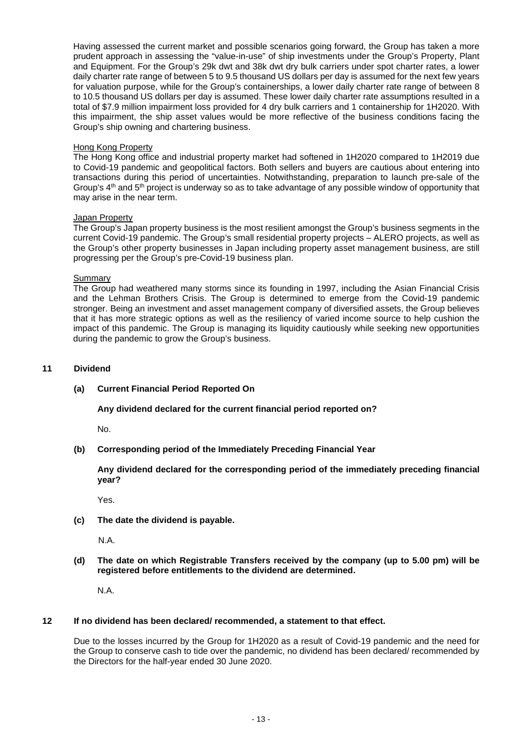Having assessed the current market and possible scenarios going forward, the Group has taken a more prudent approach in assessing the "value-in-use" of ship investments under the Group's Property, Plant and Equipment. For the Group's 29k dwt and 38k dwt dry bulk carriers under spot charter rates, a lower daily charter rate range of between 5 to 9.5 thousand US dollars per day is assumed for the next few years for valuation purpose, while for the Group's containerships, a lower daily charter rate range of between 8 to 10.5 thousand US dollars per day is assumed. These lower daily charter rate assumptions resulted in a total of \$7.9 million impairment loss provided for 4 dry bulk carriers and 1 containership for 1H2020. With this impairment, the ship asset values would be more reflective of the business conditions facing the Group's ship owning and chartering business.

#### Hong Kong Property

The Hong Kong office and industrial property market had softened in 1H2020 compared to 1H2019 due to Covid-19 pandemic and geopolitical factors. Both sellers and buyers are cautious about entering into transactions during this period of uncertainties. Notwithstanding, preparation to launch pre-sale of the Group's 4<sup>th</sup> and 5<sup>th</sup> project is underway so as to take advantage of any possible window of opportunity that may arise in the near term.

#### Japan Property

The Group's Japan property business is the most resilient amongst the Group's business segments in the current Covid-19 pandemic. The Group's small residential property projects – ALERO projects, as well as the Group's other property businesses in Japan including property asset management business, are still progressing per the Group's pre-Covid-19 business plan.

#### Summary

The Group had weathered many storms since its founding in 1997, including the Asian Financial Crisis and the Lehman Brothers Crisis. The Group is determined to emerge from the Covid-19 pandemic stronger. Being an investment and asset management company of diversified assets, the Group believes that it has more strategic options as well as the resiliency of varied income source to help cushion the impact of this pandemic. The Group is managing its liquidity cautiously while seeking new opportunities during the pandemic to grow the Group's business.

## **11 Dividend**

#### **(a) Current Financial Period Reported On**

**Any dividend declared for the current financial period reported on?**

No.

# **(b) Corresponding period of the Immediately Preceding Financial Year**

**Any dividend declared for the corresponding period of the immediately preceding financial year?**

Yes.

**(c) The date the dividend is payable.**

N.A.

**(d) The date on which Registrable Transfers received by the company (up to 5.00 pm) will be registered before entitlements to the dividend are determined.**

N.A.

#### **12 If no dividend has been declared/ recommended, a statement to that effect.**

Due to the losses incurred by the Group for 1H2020 as a result of Covid-19 pandemic and the need for the Group to conserve cash to tide over the pandemic, no dividend has been declared/ recommended by the Directors for the half-year ended 30 June 2020.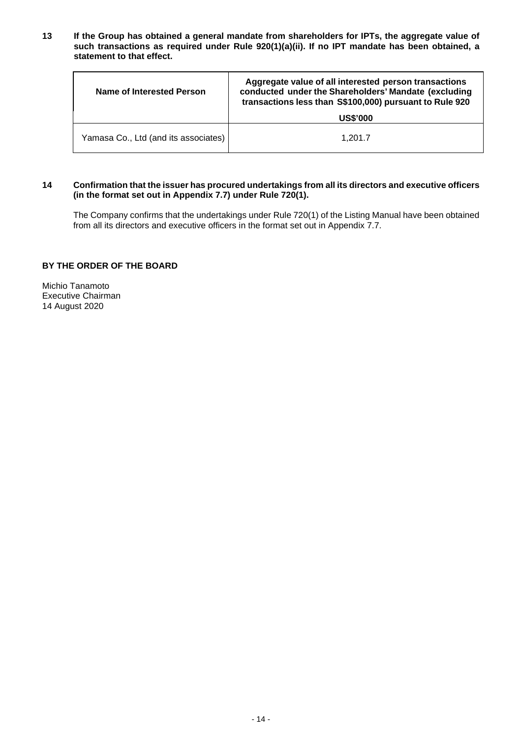**13 If the Group has obtained a general mandate from shareholders for IPTs, the aggregate value of such transactions as required under Rule 920(1)(a)(ii). If no IPT mandate has been obtained, a statement to that effect.**

| Name of Interested Person            | Aggregate value of all interested person transactions<br>conducted under the Shareholders' Mandate (excluding<br>transactions less than S\$100,000) pursuant to Rule 920 |  |
|--------------------------------------|--------------------------------------------------------------------------------------------------------------------------------------------------------------------------|--|
|                                      | <b>US\$'000</b>                                                                                                                                                          |  |
| Yamasa Co., Ltd (and its associates) | 1.201.7                                                                                                                                                                  |  |

#### **14 Confirmation that the issuer has procured undertakings from all its directors and executive officers (in the format set out in Appendix 7.7) under Rule 720(1).**

The Company confirms that the undertakings under Rule 720(1) of the Listing Manual have been obtained from all its directors and executive officers in the format set out in Appendix 7.7.

# **BY THE ORDER OF THE BOARD**

Michio Tanamoto Executive Chairman 14 August 2020